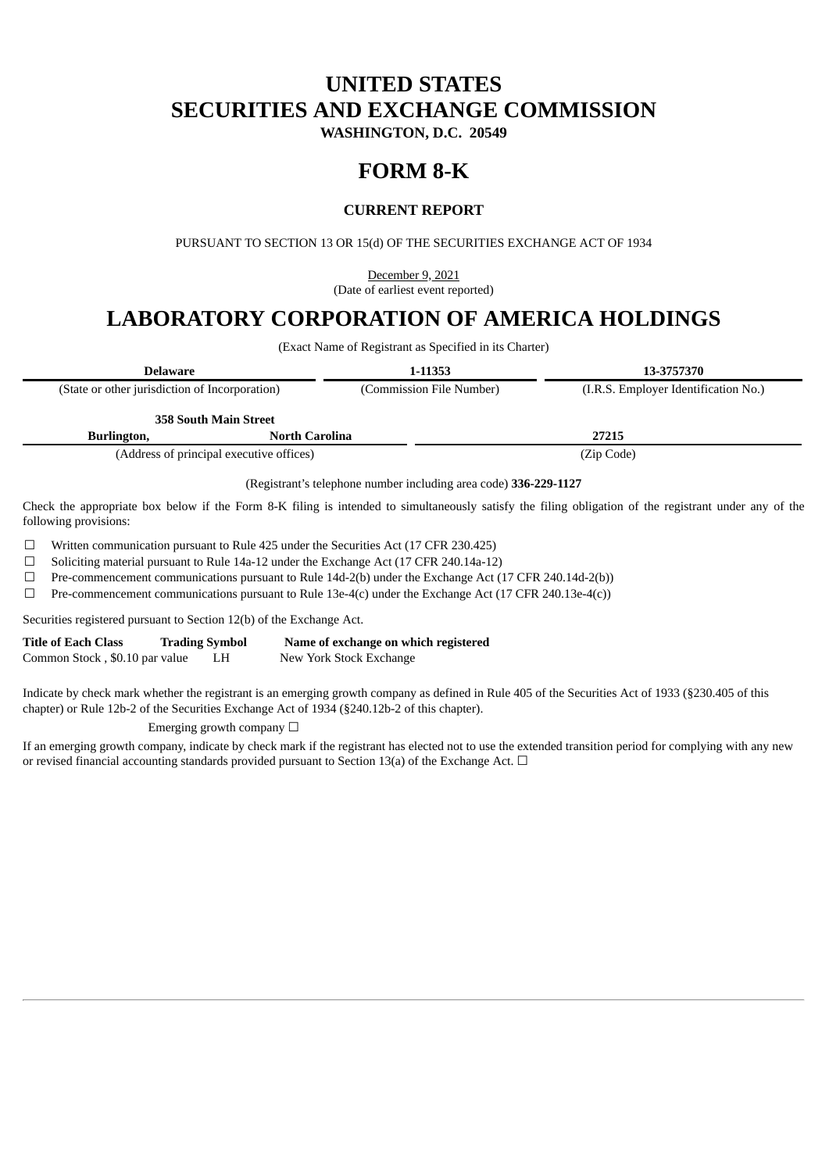# **UNITED STATES SECURITIES AND EXCHANGE COMMISSION**

**WASHINGTON, D.C. 20549**

# **FORM 8-K**

# **CURRENT REPORT**

PURSUANT TO SECTION 13 OR 15(d) OF THE SECURITIES EXCHANGE ACT OF 1934

December 9, 2021 (Date of earliest event reported)

# **LABORATORY CORPORATION OF AMERICA HOLDINGS**

(Exact Name of Registrant as Specified in its Charter)

| <b>Delaware</b>                                |                                          | 1-11353                  | 13-3757370                           |  |
|------------------------------------------------|------------------------------------------|--------------------------|--------------------------------------|--|
| (State or other jurisdiction of Incorporation) |                                          | (Commission File Number) | (I.R.S. Employer Identification No.) |  |
|                                                | <b>358 South Main Street</b>             |                          |                                      |  |
| Burlington,                                    | <b>North Carolina</b>                    |                          | 27215                                |  |
|                                                | (Address of principal executive offices) |                          | (Zip Code)                           |  |

(Registrant's telephone number including area code) **336-229-1127**

Check the appropriate box below if the Form 8-K filing is intended to simultaneously satisfy the filing obligation of the registrant under any of the following provisions:

☐ Written communication pursuant to Rule 425 under the Securities Act (17 CFR 230.425)

☐ Soliciting material pursuant to Rule 14a-12 under the Exchange Act (17 CFR 240.14a-12)

 $\Box$  Pre-commencement communications pursuant to Rule 14d-2(b) under the Exchange Act (17 CFR 240.14d-2(b))

 $\Box$  Pre-commencement communications pursuant to Rule 13e-4(c) under the Exchange Act (17 CFR 240.13e-4(c))

Securities registered pursuant to Section 12(b) of the Exchange Act.

| <b>Title of Each Class</b>     | <b>Trading Symbol</b> |    | Name of exchange on which registered |
|--------------------------------|-----------------------|----|--------------------------------------|
| Common Stock, \$0.10 par value |                       | LH | New York Stock Exchange              |

Indicate by check mark whether the registrant is an emerging growth company as defined in Rule 405 of the Securities Act of 1933 (§230.405 of this chapter) or Rule 12b-2 of the Securities Exchange Act of 1934 (§240.12b-2 of this chapter).

Emerging growth company  $\Box$ 

If an emerging growth company, indicate by check mark if the registrant has elected not to use the extended transition period for complying with any new or revised financial accounting standards provided pursuant to Section 13(a) of the Exchange Act.  $\Box$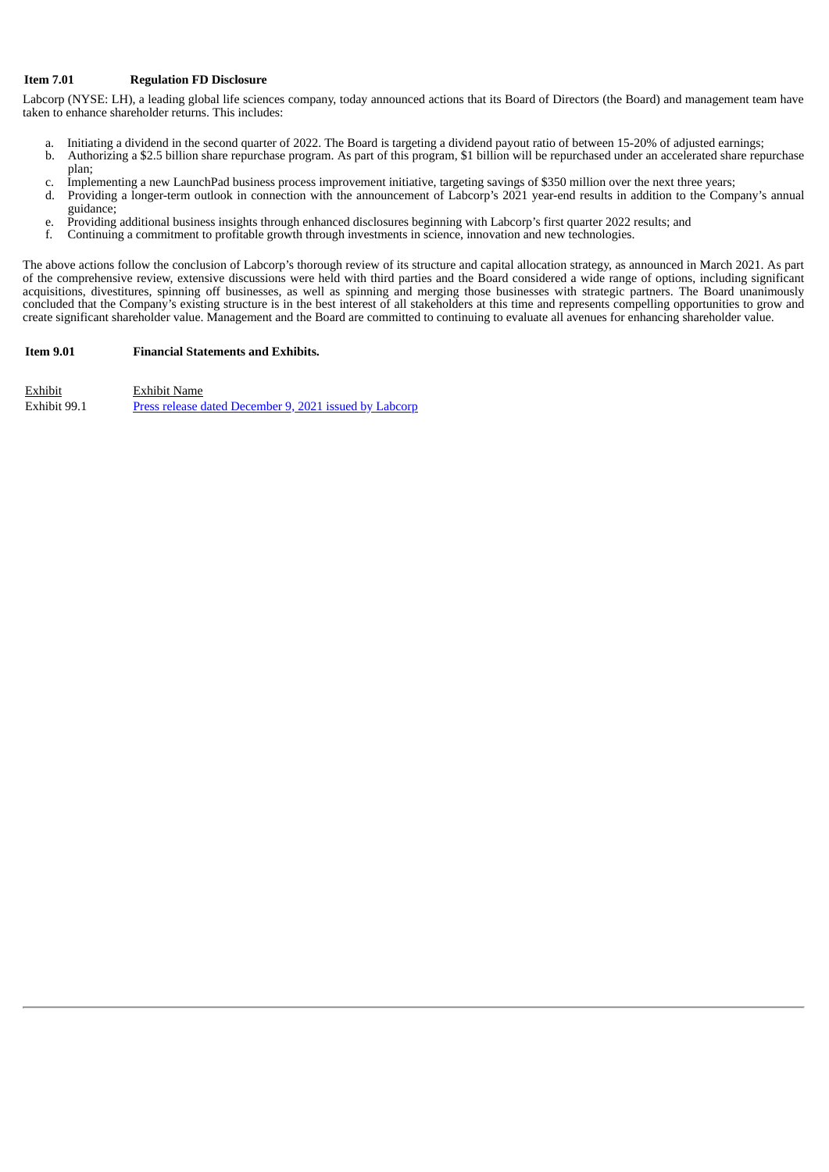## **Item 7.01 Regulation FD Disclosure**

Labcorp (NYSE: LH), a leading global life sciences company, today announced actions that its Board of Directors (the Board) and management team have taken to enhance shareholder returns. This includes:

- a. Initiating a dividend in the second quarter of 2022. The Board is targeting a dividend payout ratio of between 15-20% of adjusted earnings;
- b. Authorizing a \$2.5 billion share repurchase program. As part of this program, \$1 billion will be repurchased under an accelerated share repurchase plan;
- c. Implementing a new LaunchPad business process improvement initiative, targeting savings of \$350 million over the next three years;<br>d. Providing a longer-term outlook in connection with the announcement of Labcorn's 2021
- Providing a longer-term outlook in connection with the announcement of Labcorp's 2021 year-end results in addition to the Company's annual guidance;
- e. Providing additional business insights through enhanced disclosures beginning with Labcorp's first quarter 2022 results; and f<br>Continuing a commitment to profitable growth through investments in science, innovation and
- f. Continuing a commitment to profitable growth through investments in science, innovation and new technologies.

The above actions follow the conclusion of Labcorp's thorough review of its structure and capital allocation strategy, as announced in March 2021. As part of the comprehensive review, extensive discussions were held with third parties and the Board considered a wide range of options, including significant acquisitions, divestitures, spinning off businesses, as well as spinning and merging those businesses with strategic partners. The Board unanimously concluded that the Company's existing structure is in the best interest of all stakeholders at this time and represents compelling opportunities to grow and create significant shareholder value. Management and the Board are committed to continuing to evaluate all avenues for enhancing shareholder value.

### **Item 9.01 Financial Statements and Exhibits.**

Exhibit Exhibit Name Exhibit 99.1 Press release dated [December](#page-3-0) 9, 2021 issued by Labcorp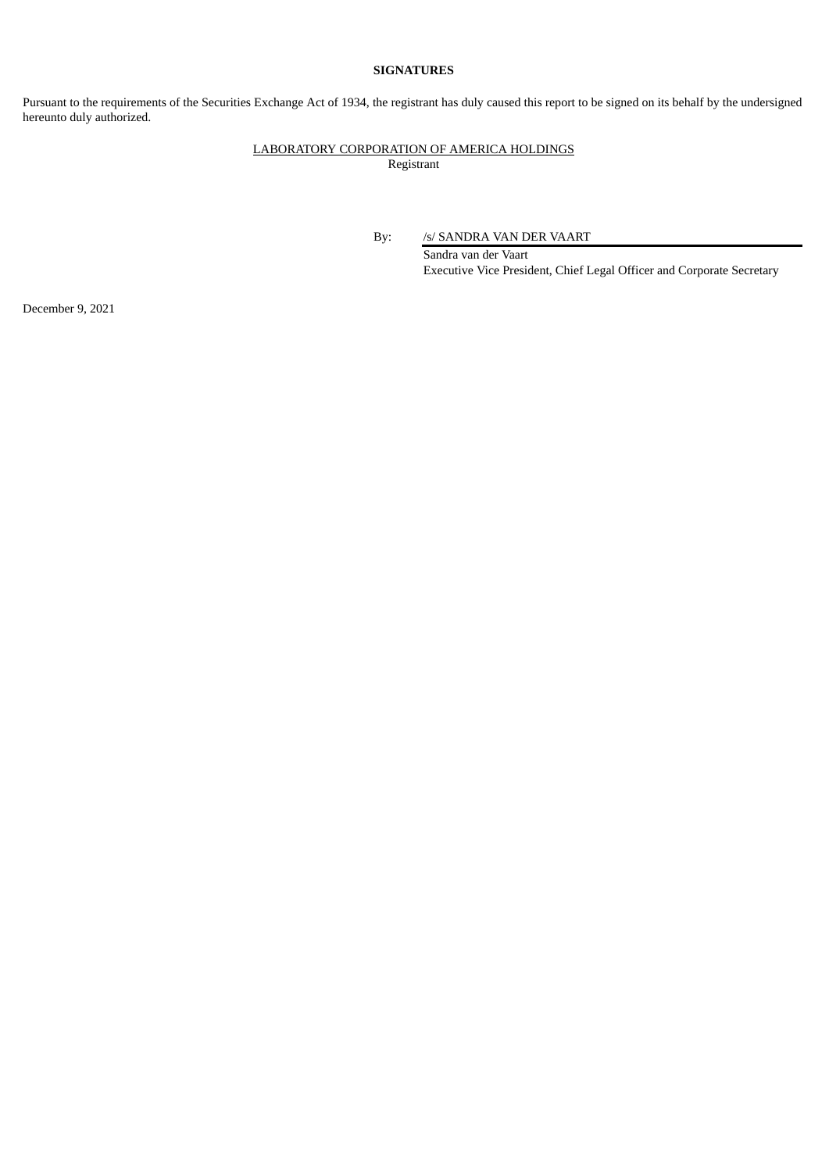## **SIGNATURES**

Pursuant to the requirements of the Securities Exchange Act of 1934, the registrant has duly caused this report to be signed on its behalf by the undersigned hereunto duly authorized.

## LABORATORY CORPORATION OF AMERICA HOLDINGS Registrant

By: /s/ SANDRA VAN DER VAART

Sandra van der Vaart Executive Vice President, Chief Legal Officer and Corporate Secretary

December 9, 2021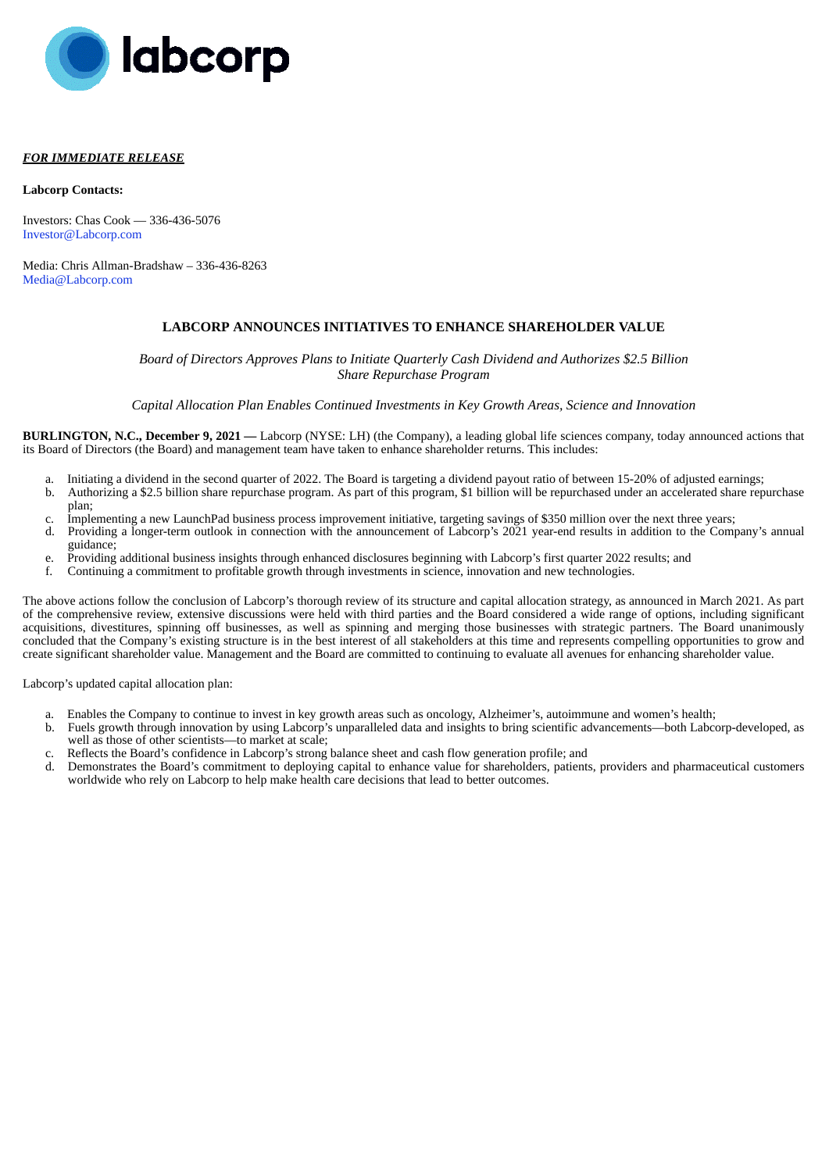<span id="page-3-0"></span>

### *FOR IMMEDIATE RELEASE*

#### **Labcorp Contacts:**

Investors: Chas Cook — 336-436-5076 Investor@Labcorp.com

Media: Chris Allman-Bradshaw – 336-436-8263 Media@Labcorp.com

## **LABCORP ANNOUNCES INITIATIVES TO ENHANCE SHAREHOLDER VALUE**

*Board of Directors Approves Plans to Initiate Quarterly Cash Dividend and Authorizes \$2.5 Billion Share Repurchase Program*

*Capital Allocation Plan Enables Continued Investments in Key Growth Areas, Science and Innovation*

**BURLINGTON, N.C., December 9, 2021 —** Labcorp (NYSE: LH) (the Company), a leading global life sciences company, today announced actions that its Board of Directors (the Board) and management team have taken to enhance shareholder returns. This includes:

- a. Initiating a dividend in the second quarter of 2022. The Board is targeting a dividend payout ratio of between 15-20% of adjusted earnings;
- b. Authorizing a \$2.5 billion share repurchase program. As part of this program, \$1 billion will be repurchased under an accelerated share repurchase plan;
- c. Implementing a new LaunchPad business process improvement initiative, targeting savings of \$350 million over the next three years;
- d. Providing a longer-term outlook in connection with the announcement of Labcorp's 2021 year-end results in addition to the Company's annual guidance;
- e. Providing additional business insights through enhanced disclosures beginning with Labcorp's first quarter 2022 results; and f. Continuing a commitment to profitable growth through investments in science, innovation and
- f. Continuing a commitment to profitable growth through investments in science, innovation and new technologies.

The above actions follow the conclusion of Labcorp's thorough review of its structure and capital allocation strategy, as announced in March 2021. As part of the comprehensive review, extensive discussions were held with third parties and the Board considered a wide range of options, including significant acquisitions, divestitures, spinning off businesses, as well as spinning and merging those businesses with strategic partners. The Board unanimously concluded that the Company's existing structure is in the best interest of all stakeholders at this time and represents compelling opportunities to grow and create significant shareholder value. Management and the Board are committed to continuing to evaluate all avenues for enhancing shareholder value.

Labcorp's updated capital allocation plan:

- a. Enables the Company to continue to invest in key growth areas such as oncology, Alzheimer's, autoimmune and women's health;
- b. Fuels growth through innovation by using Labcorp's unparalleled data and insights to bring scientific advancements—both Labcorp-developed, as well as those of other scientists—to market at scale;
- c. Reflects the Board's confidence in Labcorp's strong balance sheet and cash flow generation profile; and
- d. Demonstrates the Board's commitment to deploying capital to enhance value for shareholders, patients, providers and pharmaceutical customers worldwide who rely on Labcorp to help make health care decisions that lead to better outcomes.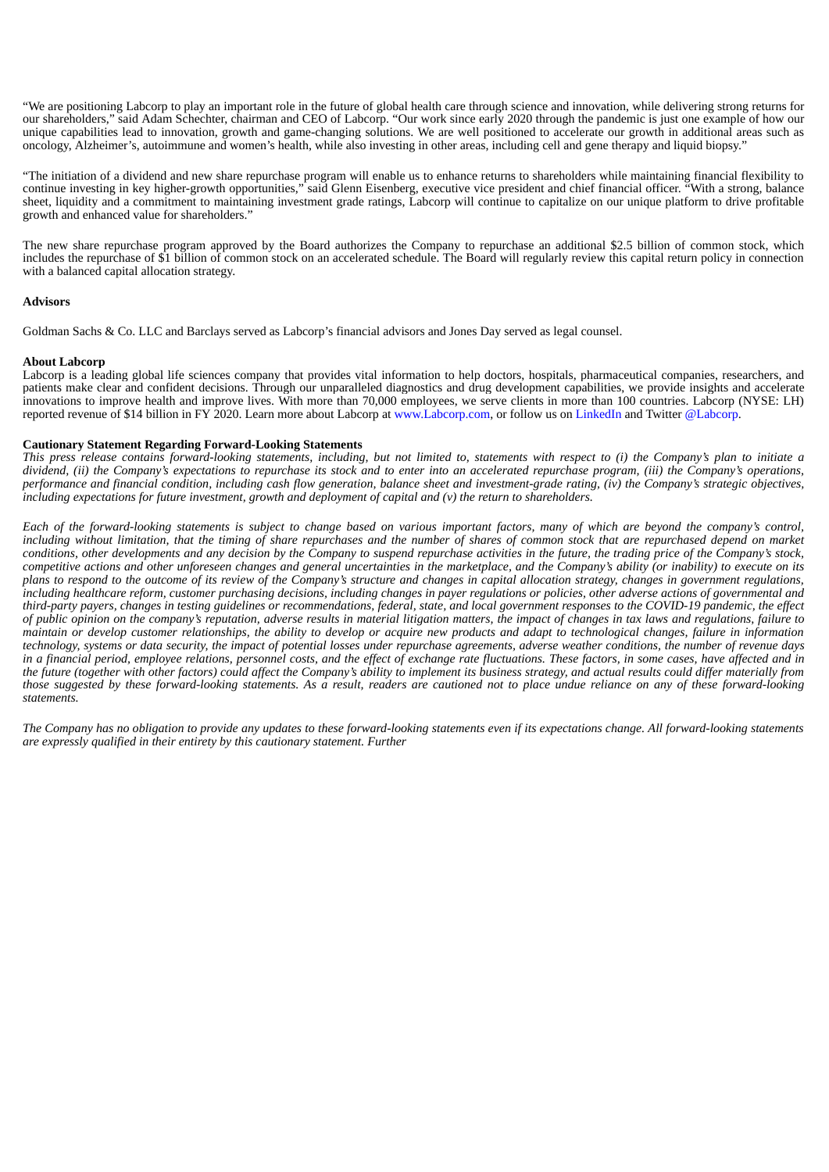"We are positioning Labcorp to play an important role in the future of global health care through science and innovation, while delivering strong returns for our shareholders," said Adam Schechter, chairman and CEO of Labcorp. "Our work since early 2020 through the pandemic is just one example of how our unique capabilities lead to innovation, growth and game-changing solutions. We are well positioned to accelerate our growth in additional areas such as oncology, Alzheimer's, autoimmune and women's health, while also investing in other areas, including cell and gene therapy and liquid biopsy."

"The initiation of a dividend and new share repurchase program will enable us to enhance returns to shareholders while maintaining financial flexibility to continue investing in key higher-growth opportunities," said Glenn Eisenberg, executive vice president and chief financial officer. "With a strong, balance sheet, liquidity and a commitment to maintaining investment grade ratings, Labcorp will continue to capitalize on our unique platform to drive profitable growth and enhanced value for shareholders."

The new share repurchase program approved by the Board authorizes the Company to repurchase an additional \$2.5 billion of common stock, which includes the repurchase of \$1 billion of common stock on an accelerated schedule. The Board will regularly review this capital return policy in connection with a balanced capital allocation strategy.

## **Advisors**

Goldman Sachs & Co. LLC and Barclays served as Labcorp's financial advisors and Jones Day served as legal counsel.

#### **About Labcorp**

Labcorp is a leading global life sciences company that provides vital information to help doctors, hospitals, pharmaceutical companies, researchers, and patients make clear and confident decisions. Through our unparalleled diagnostics and drug development capabilities, we provide insights and accelerate innovations to improve health and improve lives. With more than 70,000 employees, we serve clients in more than 100 countries. Labcorp (NYSE: LH) reported revenue of \$14 billion in FY 2020. Learn more about Labcorp at www.Labcorp.com, or follow us on LinkedIn and Twitter @Labcorp.

### **Cautionary Statement Regarding Forward-Looking Statements**

This press release contains forward-looking statements, including, but not limited to, statements with respect to (i) the Company's plan to initiate a dividend, (ii) the Company's expectations to repurchase its stock and to enter into an accelerated repurchase program, (iii) the Company's operations, performance and financial condition, including cash flow generation, balance sheet and investment-grade rating, (iv) the Company's strategic objectives, including expectations for future investment, growth and deployment of capital and (v) the return to shareholders.

Each of the forward-looking statements is subject to change based on various important factors, many of which are beyond the company's control, including without limitation, that the timing of share repurchases and the number of shares of common stock that are repurchased depend on market conditions, other developments and any decision by the Company to suspend repurchase activities in the future, the trading price of the Company's stock, competitive actions and other unforeseen changes and general uncertainties in the marketplace, and the Company's ability (or inability) to execute on its plans to respond to the outcome of its review of the Company's structure and changes in capital allocation strategy, changes in government regulations, including healthcare reform, customer purchasing decisions, including changes in payer regulations or policies, other adverse actions of governmental and third-party payers, changes in testing quidelines or recommendations, federal, state, and local government responses to the COVID-19 pandemic, the effect of public opinion on the company's reputation, adverse results in material litigation matters, the impact of changes in tax laws and regulations, failure to maintain or develop customer relationships, the ability to develop or acquire new products and adapt to technological changes, failure in information technology, systems or data security, the impact of potential losses under repurchase agreements, adverse weather conditions, the number of revenue days in a financial period, employee relations, personnel costs, and the effect of exchange rate fluctuations. These factors, in some cases, have affected and in the future (together with other factors) could affect the Company's ability to implement its business strategy, and actual results could differ materially from those suggested by these forward-looking statements. As a result, readers are cautioned not to place undue reliance on any of these forward-looking *statements.*

The Company has no obligation to provide any updates to these forward-looking statements even if its expectations change. All forward-looking statements *are expressly qualified in their entirety by this cautionary statement. Further*